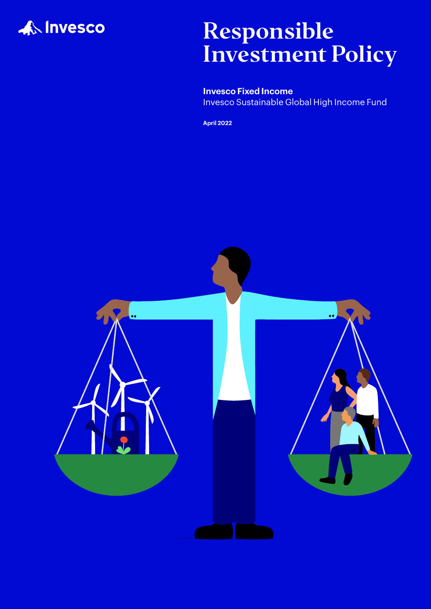

# Responsible Investment Policy

**Invesco Fixed Income** Invesco Sustainable Global High Income Fund

**April 2022**

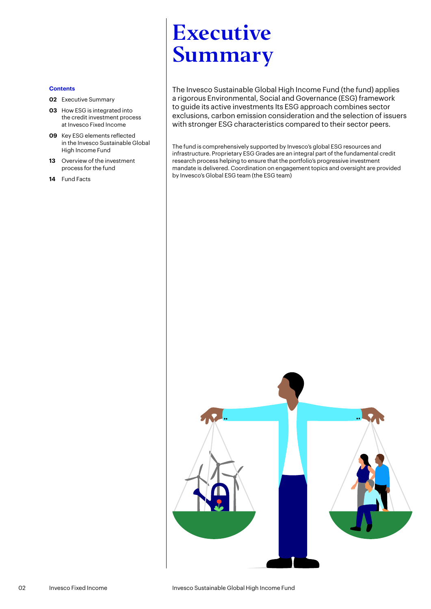# <span id="page-1-0"></span>Executive Summary

The Invesco Sustainable Global High Income Fund (the fund) applies a rigorous Environmental, Social and Governance (ESG) framework to guide its active investments Its ESG approach combines sector exclusions, carbon emission consideration and the selection of issuers with stronger ESG characteristics compared to their sector peers.

The fund is comprehensively supported by Invesco's global ESG resources and infrastructure. Proprietary ESG Grades are an integral part of the fundamental credit research process helping to ensure that the portfolio's progressive investment mandate is delivered. Coordination on engagement topics and oversight are provided by Invesco's Global ESG team (the ESG team)



- **[02](#page-1-0)** Executive Summary
- **03** [How ESG is integrated into](#page-2-0)  [the credit investment process](#page-2-0)  [at Invesco Fixed Income](#page-2-0)
- **09** [Key ESG elements reflected](#page-8-0)  [in the Invesco Sustainable Global](#page-8-0)  [High Income Fund](#page-8-0)
- **13** [Overview of the investment](#page-12-0)  [process for the fund](#page-12-0)
- **14** [Fund Facts](#page-13-0)

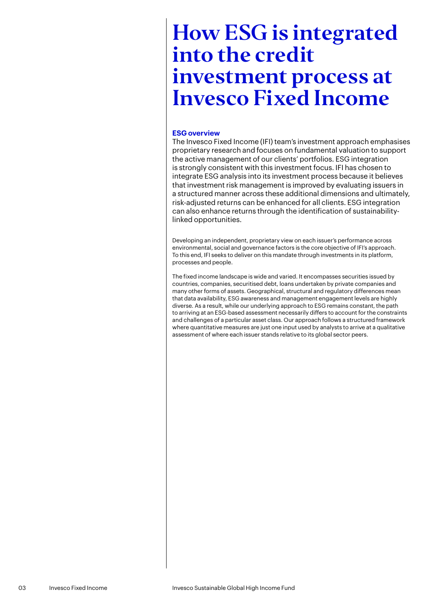# <span id="page-2-0"></span>**ESG overview**

The Invesco Fixed Income (IFI) team's investment approach emphasises proprietary research and focuses on fundamental valuation to support the active management of our clients' portfolios. ESG integration is strongly consistent with this investment focus. IFI has chosen to integrate ESG analysis into its investment process because it believes that investment risk management is improved by evaluating issuers in a structured manner across these additional dimensions and ultimately, risk-adjusted returns can be enhanced for all clients. ESG integration can also enhance returns through the identification of sustainabilitylinked opportunities.

Developing an independent, proprietary view on each issuer's performance across environmental, social and governance factors is the core objective of IFI's approach. To this end, IFI seeks to deliver on this mandate through investments in its platform, processes and people.

The fixed income landscape is wide and varied. It encompasses securities issued by countries, companies, securitised debt, loans undertaken by private companies and many other forms of assets. Geographical, structural and regulatory differences mean that data availability, ESG awareness and management engagement levels are highly diverse. As a result, while our underlying approach to ESG remains constant, the path to arriving at an ESG-based assessment necessarily differs to account for the constraints and challenges of a particular asset class. Our approach follows a structured framework where quantitative measures are just one input used by analysts to arrive at a qualitative assessment of where each issuer stands relative to its global sector peers.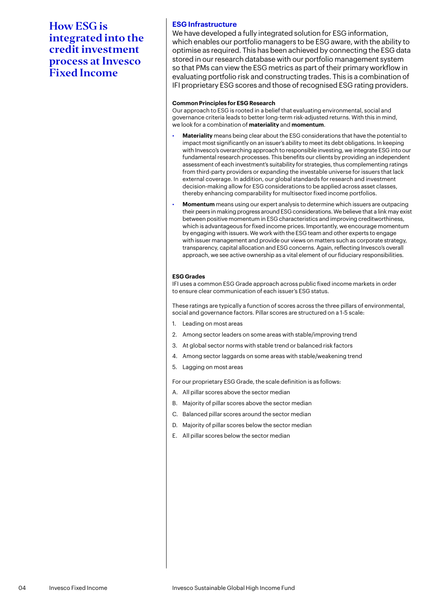# **ESG Infrastructure**

We have developed a fully integrated solution for ESG information, which enables our portfolio managers to be ESG aware, with the ability to optimise as required. This has been achieved by connecting the ESG data stored in our research database with our portfolio management system so that PMs can view the ESG metrics as part of their primary workflow in evaluating portfolio risk and constructing trades. This is a combination of IFI proprietary ESG scores and those of recognised ESG rating providers.

### **Common Principles for ESG Research**

Our approach to ESG is rooted in a belief that evaluating environmental, social and governance criteria leads to better long-term risk-adjusted returns. With this in mind, we look for a combination of **materiality** and **momentum**.

- **Materiality** means being clear about the ESG considerations that have the potential to impact most significantly on an issuer's ability to meet its debt obligations. In keeping with Invesco's overarching approach to responsible investing, we integrate ESG into our fundamental research processes. This benefits our clients by providing an independent assessment of each investment's suitability for strategies, thus complementing ratings from third-party providers or expanding the investable universe for issuers that lack external coverage. In addition, our global standards for research and investment decision-making allow for ESG considerations to be applied across asset classes, thereby enhancing comparability for multisector fixed income portfolios.
- **Momentum** means using our expert analysis to determine which issuers are outpacing their peers in making progress around ESG considerations. We believe that a link may exist between positive momentum in ESG characteristics and improving creditworthiness, which is advantageous for fixed income prices. Importantly, we encourage momentum by engaging with issuers. We work with the ESG team and other experts to engage with issuer management and provide our views on matters such as corporate strategy, transparency, capital allocation and ESG concerns. Again, reflecting Invesco's overall approach, we see active ownership as a vital element of our fiduciary responsibilities.

### **ESG Grades**

IFI uses a common ESG Grade approach across public fixed income markets in order to ensure clear communication of each issuer's ESG status.

These ratings are typically a function of scores across the three pillars of environmental, social and governance factors. Pillar scores are structured on a 1-5 scale:

- 1. Leading on most areas
- 2. Among sector leaders on some areas with stable/improving trend
- 3. At global sector norms with stable trend or balanced risk factors
- 4. Among sector laggards on some areas with stable/weakening trend
- 5. Lagging on most areas

For our proprietary ESG Grade, the scale definition is as follows:

- A. All pillar scores above the sector median
- B. Majority of pillar scores above the sector median
- C. Balanced pillar scores around the sector median
- D. Majority of pillar scores below the sector median
- E. All pillar scores below the sector median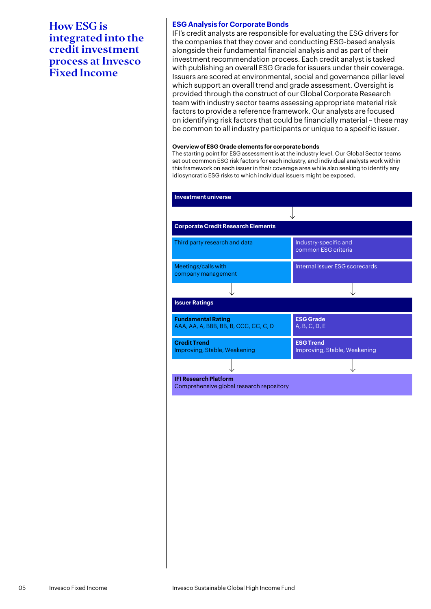# **ESG Analysis for Corporate Bonds**

IFI's credit analysts are responsible for evaluating the ESG drivers for the companies that they cover and conducting ESG-based analysis alongside their fundamental financial analysis and as part of their investment recommendation process. Each credit analyst is tasked with publishing an overall ESG Grade for issuers under their coverage. Issuers are scored at environmental, social and governance pillar level which support an overall trend and grade assessment. Oversight is provided through the construct of our Global Corporate Research team with industry sector teams assessing appropriate material risk factors to provide a reference framework. Our analysts are focused on identifying risk factors that could be financially material – these may be common to all industry participants or unique to a specific issuer.

#### **Overview of ESG Grade elements for corporate bonds**

The starting point for ESG assessment is at the industry level. Our Global Sector teams set out common ESG risk factors for each industry, and individual analysts work within this framework on each issuer in their coverage area while also seeking to identify any idiosyncratic ESG risks to which individual issuers might be exposed.

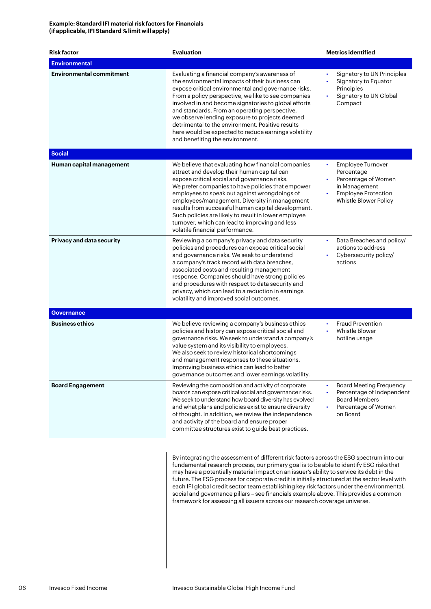# **Example: Standard IFI material risk factors for Financials (if applicable, IFI Standard % limit will apply)**

| <b>Risk factor</b>              | <b>Evaluation</b>                                                                                                                                                                                                                                                                                                                                                                                                                                                                                                                                                                                                                                   | <b>Metrics identified</b>                                                                                                                   |
|---------------------------------|-----------------------------------------------------------------------------------------------------------------------------------------------------------------------------------------------------------------------------------------------------------------------------------------------------------------------------------------------------------------------------------------------------------------------------------------------------------------------------------------------------------------------------------------------------------------------------------------------------------------------------------------------------|---------------------------------------------------------------------------------------------------------------------------------------------|
| <b>Environmental</b>            |                                                                                                                                                                                                                                                                                                                                                                                                                                                                                                                                                                                                                                                     |                                                                                                                                             |
| <b>Environmental commitment</b> | Evaluating a financial company's awareness of<br>the environmental impacts of their business can<br>expose critical environmental and governance risks.<br>From a policy perspective, we like to see companies<br>involved in and become signatories to global efforts<br>and standards. From an operating perspective,<br>we observe lending exposure to projects deemed<br>detrimental to the environment. Positive results<br>here would be expected to reduce earnings volatility<br>and benefiting the environment.                                                                                                                            | Signatory to UN Principles<br>$\bullet$<br>Signatory to Equator<br>Principles<br>Signatory to UN Global<br>Compact                          |
| <b>Social</b>                   |                                                                                                                                                                                                                                                                                                                                                                                                                                                                                                                                                                                                                                                     |                                                                                                                                             |
| Human capital management        | We believe that evaluating how financial companies<br>attract and develop their human capital can<br>expose critical social and governance risks.<br>We prefer companies to have policies that empower<br>employees to speak out against wrongdoings of<br>employees/management. Diversity in management<br>results from successful human capital development.<br>Such policies are likely to result in lower employee<br>turnover, which can lead to improving and less<br>volatile financial performance.                                                                                                                                         | Employee Turnover<br>$\bullet$<br>Percentage<br>Percentage of Women<br>in Management<br><b>Employee Protection</b><br>Whistle Blower Policy |
| Privacy and data security       | Reviewing a company's privacy and data security<br>policies and procedures can expose critical social<br>and governance risks. We seek to understand<br>a company's track record with data breaches,<br>associated costs and resulting management<br>response. Companies should have strong policies<br>and procedures with respect to data security and<br>privacy, which can lead to a reduction in earnings<br>volatility and improved social outcomes.                                                                                                                                                                                          | Data Breaches and policy/<br>actions to address<br>Cybersecurity policy/<br>actions                                                         |
| <b>Governance</b>               |                                                                                                                                                                                                                                                                                                                                                                                                                                                                                                                                                                                                                                                     |                                                                                                                                             |
| <b>Business ethics</b>          | We believe reviewing a company's business ethics<br>policies and history can expose critical social and<br>governance risks. We seek to understand a company's<br>value system and its visibility to employees.<br>We also seek to review historical shortcomings<br>and management responses to these situations.<br>Improving business ethics can lead to better<br>governance outcomes and lower earnings volatility.                                                                                                                                                                                                                            | <b>Fraud Prevention</b><br>Whistle Blower<br>hotline usage                                                                                  |
| <b>Board Engagement</b>         | Reviewing the composition and activity of corporate<br>boards can expose critical social and governance risks.<br>We seek to understand how board diversity has evolved<br>and what plans and policies exist to ensure diversity<br>of thought. In addition, we review the independence<br>and activity of the board and ensure proper<br>committee structures exist to guide best practices.                                                                                                                                                                                                                                                       | <b>Board Meeting Frequency</b><br>Percentage of Independent<br><b>Board Members</b><br>Percentage of Women<br>on Board                      |
|                                 | By integrating the assessment of different risk factors across the ESG spectrum into our<br>fundamental research process, our primary goal is to be able to identify ESG risks that<br>may have a potentially material impact on an issuer's ability to service its debt in the<br>future. The ESG process for corporate credit is initially structured at the sector level with<br>each IFI global credit sector team establishing key risk factors under the environmental,<br>social and governance pillars - see financials example above. This provides a common<br>framework for assessing all issuers across our research coverage universe. |                                                                                                                                             |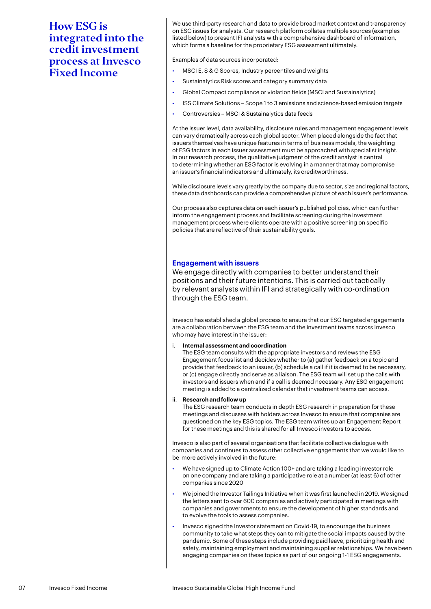We use third-party research and data to provide broad market context and transparency on ESG issues for analysts. Our research platform collates multiple sources (examples listed below) to present IFI analysts with a comprehensive dashboard of information, which forms a baseline for the proprietary ESG assessment ultimately.

Examples of data sources incorporated:

- MSCI E, S & G Scores, Industry percentiles and weights
- Sustainalytics Risk scores and category summary data
- Global Compact compliance or violation fields (MSCI and Sustainalytics)
- ISS Climate Solutions Scope 1 to 3 emissions and science-based emission targets
- Controversies MSCI & Sustainalytics data feeds

At the issuer level, data availability, disclosure rules and management engagement levels can vary dramatically across each global sector. When placed alongside the fact that issuers themselves have unique features in terms of business models, the weighting of ESG factors in each issuer assessment must be approached with specialist insight. In our research process, the qualitative judgment of the credit analyst is central to determining whether an ESG factor is evolving in a manner that may compromise an issuer's financial indicators and ultimately, its creditworthiness.

While disclosure levels vary greatly by the company due to sector, size and regional factors, these data dashboards can provide a comprehensive picture of each issuer's performance.

Our process also captures data on each issuer's published policies, which can further inform the engagement process and facilitate screening during the investment management process where clients operate with a positive screening on specific policies that are reflective of their sustainability goals.

### **Engagement with issuers**

We engage directly with companies to better understand their positions and their future intentions. This is carried out tactically by relevant analysts within IFI and strategically with co-ordination through the ESG team.

Invesco has established a global process to ensure that our ESG targeted engagements are a collaboration between the ESG team and the investment teams across Invesco who may have interest in the issuer:

i. **Internal assessment and coordination**

The ESG team consults with the appropriate investors and reviews the ESG Engagement focus list and decides whether to (a) gather feedback on a topic and provide that feedback to an issuer, (b) schedule a call if it is deemed to be necessary, or (c) engage directly and serve as a liaison. The ESG team will set up the calls with investors and issuers when and if a call is deemed necessary. Any ESG engagement meeting is added to a centralized calendar that investment teams can access.

#### ii. **Research and follow up**

The ESG research team conducts in depth ESG research in preparation for these meetings and discusses with holders across Invesco to ensure that companies are questioned on the key ESG topics. The ESG team writes up an Engagement Report for these meetings and this is shared for all Invesco investors to access.

Invesco is also part of several organisations that facilitate collective dialogue with companies and continues to assess other collective engagements that we would like to be more actively involved in the future:

- We have signed up to Climate Action 100+ and are taking a leading investor role on one company and are taking a participative role at a number (at least 6) of other companies since 2020
- We joined the Investor Tailings Initiative when it was first launched in 2019. We signed the letters sent to over 600 companies and actively participated in meetings with companies and governments to ensure the development of higher standards and to evolve the tools to assess companies.
- Invesco signed the Investor statement on Covid-19, to encourage the business community to take what steps they can to mitigate the social impacts caused by the pandemic. Some of these steps include providing paid leave, prioritizing health and safety, maintaining employment and maintaining supplier relationships. We have been engaging companies on these topics as part of our ongoing 1-1 ESG engagements.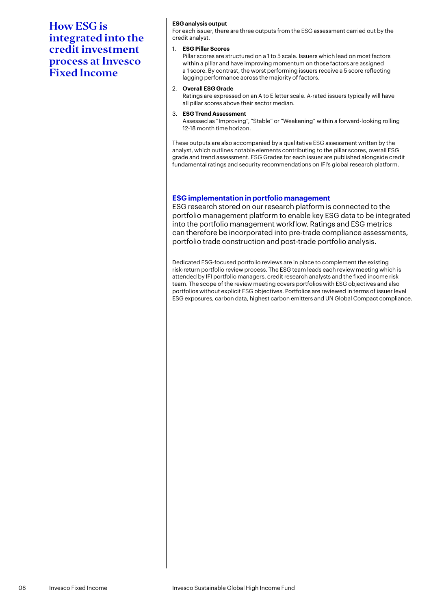### **ESG analysis output**

For each issuer, there are three outputs from the ESG assessment carried out by the credit analyst.

#### 1. **ESG Pillar Scores**

Pillar scores are structured on a 1 to 5 scale. Issuers which lead on most factors within a pillar and have improving momentum on those factors are assigned a 1 score. By contrast, the worst performing issuers receive a 5 score reflecting lagging performance across the majority of factors.

#### 2. **Overall ESG Grade**

Ratings are expressed on an A to E letter scale. A-rated issuers typically will have all pillar scores above their sector median.

#### 3. **ESG Trend Assessment**

Assessed as "Improving", "Stable" or "Weakening" within a forward-looking rolling 12-18 month time horizon.

These outputs are also accompanied by a qualitative ESG assessment written by the analyst, which outlines notable elements contributing to the pillar scores, overall ESG grade and trend assessment. ESG Grades for each issuer are published alongside credit fundamental ratings and security recommendations on IFI's global research platform.

# **ESG implementation in portfolio management**

ESG research stored on our research platform is connected to the portfolio management platform to enable key ESG data to be integrated into the portfolio management workflow. Ratings and ESG metrics can therefore be incorporated into pre-trade compliance assessments, portfolio trade construction and post-trade portfolio analysis.

Dedicated ESG-focused portfolio reviews are in place to complement the existing risk-return portfolio review process. The ESG team leads each review meeting which is attended by IFI portfolio managers, credit research analysts and the fixed income risk team. The scope of the review meeting covers portfolios with ESG objectives and also portfolios without explicit ESG objectives. Portfolios are reviewed in terms of issuer level ESG exposures, carbon data, highest carbon emitters and UN Global Compact compliance.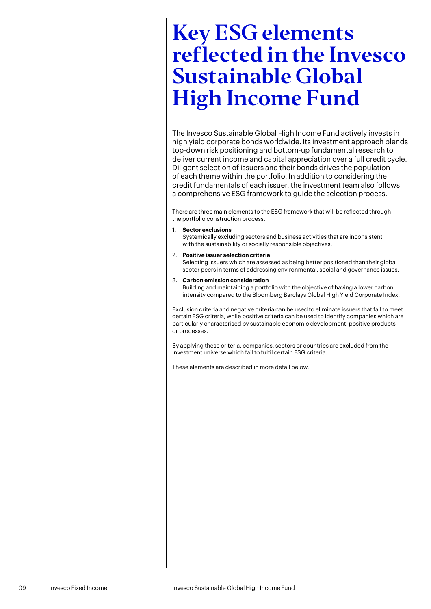<span id="page-8-0"></span>The Invesco Sustainable Global High Income Fund actively invests in high yield corporate bonds worldwide. Its investment approach blends top-down risk positioning and bottom-up fundamental research to deliver current income and capital appreciation over a full credit cycle. Diligent selection of issuers and their bonds drives the population of each theme within the portfolio. In addition to considering the credit fundamentals of each issuer, the investment team also follows a comprehensive ESG framework to guide the selection process.

There are three main elements to the ESG framework that will be reflected through the portfolio construction process.

- 1. **Sector exclusions** Systemically excluding sectors and business activities that are inconsistent with the sustainability or socially responsible objectives.
- 2. **Positive issuer selection criteria** Selecting issuers which are assessed as being better positioned than their global sector peers in terms of addressing environmental, social and governance issues.
- 3. **Carbon emission consideration** Building and maintaining a portfolio with the objective of having a lower carbon intensity compared to the Bloomberg Barclays Global High Yield Corporate Index.

Exclusion criteria and negative criteria can be used to eliminate issuers that fail to meet certain ESG criteria, while positive criteria can be used to identify companies which are particularly characterised by sustainable economic development, positive products or processes.

By applying these criteria, companies, sectors or countries are excluded from the investment universe which fail to fulfil certain ESG criteria.

These elements are described in more detail below.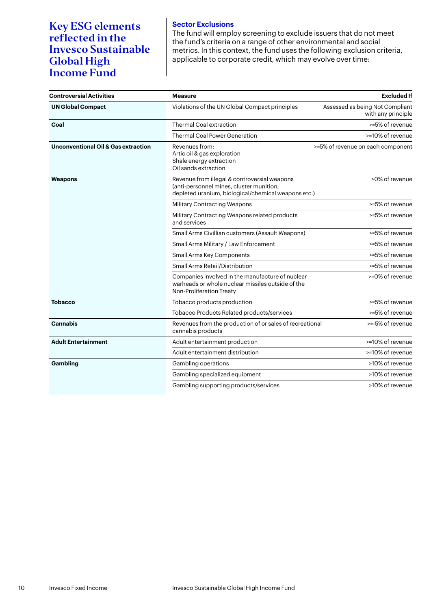# **Sector Exclusions** The fund will employ screening to exclude issuers that do not meet the fund's criteria on a range of other environmental and social metrics. In this context, the fund uses the following exclusion criteria, applicable to corporate credit, which may evolve over time:

| <b>Controversial Activities</b>                | <b>Measure</b>                                                                                                                                  | <b>Excluded If</b>                                    |
|------------------------------------------------|-------------------------------------------------------------------------------------------------------------------------------------------------|-------------------------------------------------------|
| <b>UN Global Compact</b>                       | Violations of the UN Global Compact principles                                                                                                  | Assessed as being Not Compliant<br>with any principle |
| Coal                                           | <b>Thermal Coal extraction</b>                                                                                                                  | >=5% of revenue                                       |
|                                                | <b>Thermal Coal Power Generation</b>                                                                                                            | >=10% of revenue                                      |
| <b>Unconventional Oil &amp; Gas extraction</b> | Revenues from:<br>Artic oil & gas exploration<br>Shale energy extraction<br>Oil sands extraction                                                | >=5% of revenue on each component                     |
| Weapons                                        | Revenue from illegal & controversial weapons<br>(anti-personnel mines, cluster munition,<br>depleted uranium, biological/chemical weapons etc.) | >0% of revenue                                        |
|                                                | <b>Military Contracting Weapons</b>                                                                                                             | >=5% of revenue                                       |
|                                                | Military Contracting Weapons related products<br>and services                                                                                   | >=5% of revenue                                       |
|                                                | Small Arms Civillian customers (Assault Weapons)                                                                                                | >=5% of revenue                                       |
|                                                | Small Arms Military / Law Enforcement                                                                                                           | >=5% of revenue                                       |
|                                                | Small Arms Key Components                                                                                                                       | >=5% of revenue                                       |
|                                                | Small Arms Retail/Distribution                                                                                                                  | >=5% of revenue                                       |
|                                                | Companies involved in the manufacture of nuclear<br>warheads or whole nuclear missiles outside of the<br><b>Non-Proliferation Treaty</b>        | >=0% of revenue                                       |
| <b>Tobacco</b>                                 | Tobacco products production                                                                                                                     | >=5% of revenue                                       |
|                                                | Tobacco Products Related products/services                                                                                                      | >=5% of revenue                                       |
| <b>Cannabis</b>                                | Revenues from the production of or sales of recreational<br>cannabis products                                                                   | >=-5% of revenue                                      |
| <b>Adult Entertainment</b>                     | Adult entertainment production                                                                                                                  | >=10% of revenue                                      |
|                                                | Adult entertainment distribution                                                                                                                | >=10% of revenue                                      |
| Gambling                                       | Gambling operations                                                                                                                             | >10% of revenue                                       |
|                                                | Gambling specialized equipment                                                                                                                  | >10% of revenue                                       |
|                                                | Gambling supporting products/services                                                                                                           | >10% of revenue                                       |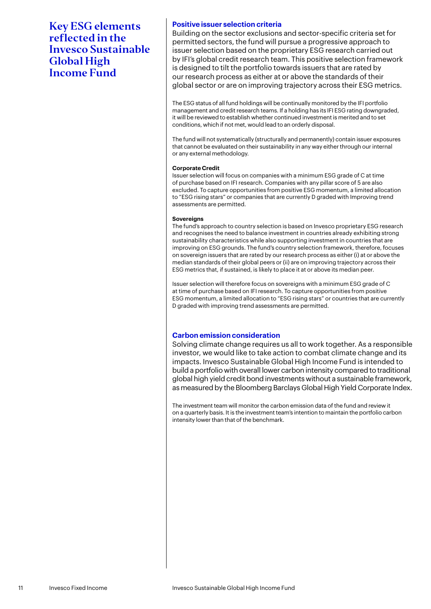# **Positive issuer selection criteria**

Building on the sector exclusions and sector-specific criteria set for permitted sectors, the fund will pursue a progressive approach to issuer selection based on the proprietary ESG research carried out by IFI's global credit research team. This positive selection framework is designed to tilt the portfolio towards issuers that are rated by our research process as either at or above the standards of their global sector or are on improving trajectory across their ESG metrics.

The ESG status of all fund holdings will be continually monitored by the IFI portfolio management and credit research teams. If a holding has its IFI ESG rating downgraded, it will be reviewed to establish whether continued investment is merited and to set conditions, which if not met, would lead to an orderly disposal.

The fund will not systematically (structurally and permanently) contain issuer exposures that cannot be evaluated on their sustainability in any way either through our internal or any external methodology.

### **Corporate Credit**

Issuer selection will focus on companies with a minimum ESG grade of C at time of purchase based on IFI research. Companies with any pillar score of 5 are also excluded. To capture opportunities from positive ESG momentum, a limited allocation to "ESG rising stars" or companies that are currently D graded with Improving trend assessments are permitted.

### **Sovereigns**

The fund's approach to country selection is based on Invesco proprietary ESG research and recognises the need to balance investment in countries already exhibiting strong sustainability characteristics while also supporting investment in countries that are improving on ESG grounds. The fund's country selection framework, therefore, focuses on sovereign issuers that are rated by our research process as either (i) at or above the median standards of their global peers or (ii) are on improving trajectory across their ESG metrics that, if sustained, is likely to place it at or above its median peer.

Issuer selection will therefore focus on sovereigns with a minimum ESG grade of C at time of purchase based on IFI research. To capture opportunities from positive ESG momentum, a limited allocation to "ESG rising stars" or countries that are currently D graded with improving trend assessments are permitted.

# **Carbon emission consideration**

Solving climate change requires us all to work together. As a responsible investor, we would like to take action to combat climate change and its impacts. Invesco Sustainable Global High Income Fund is intended to build a portfolio with overall lower carbon intensity compared to traditional global high yield credit bond investments without a sustainable framework, as measured by the Bloomberg Barclays Global High Yield Corporate Index.

The investment team will monitor the carbon emission data of the fund and review it on a quarterly basis. It is the investment team's intention to maintain the portfolio carbon intensity lower than that of the benchmark.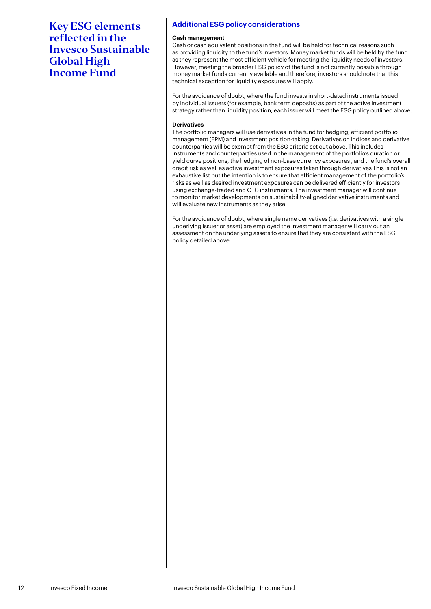# **Additional ESG policy considerations**

#### **Cash management**

Cash or cash equivalent positions in the fund will be held for technical reasons such as providing liquidity to the fund's investors. Money market funds will be held by the fund as they represent the most efficient vehicle for meeting the liquidity needs of investors. However, meeting the broader ESG policy of the fund is not currently possible through money market funds currently available and therefore, investors should note that this technical exception for liquidity exposures will apply.

For the avoidance of doubt, where the fund invests in short-dated instruments issued by individual issuers (for example, bank term deposits) as part of the active investment strategy rather than liquidity position, each issuer will meet the ESG policy outlined above.

#### **Derivatives**

The portfolio managers will use derivatives in the fund for hedging, efficient portfolio management (EPM) and investment position-taking. Derivatives on indices and derivative counterparties will be exempt from the ESG criteria set out above. This includes instruments and counterparties used in the management of the portfolio's duration or yield curve positions, the hedging of non-base currency exposures , and the fund's overall credit risk as well as active investment exposures taken through derivatives This is not an exhaustive list but the intention is to ensure that efficient management of the portfolio's risks as well as desired investment exposures can be delivered efficiently for investors using exchange-traded and OTC instruments. The investment manager will continue to monitor market developments on sustainability-aligned derivative instruments and will evaluate new instruments as they arise.

For the avoidance of doubt, where single name derivatives (i.e. derivatives with a single underlying issuer or asset) are employed the investment manager will carry out an assessment on the underlying assets to ensure that they are consistent with the ESG policy detailed above.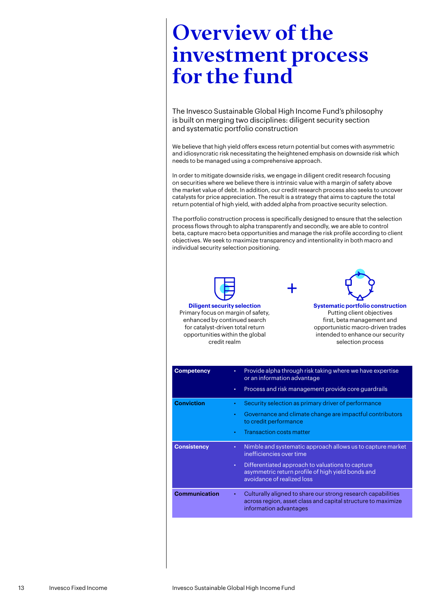# <span id="page-12-0"></span>Overview of the investment process for the fund

The Invesco Sustainable Global High Income Fund's philosophy is built on merging two disciplines: diligent security section and systematic portfolio construction

We believe that high yield offers excess return potential but comes with asymmetric and idiosyncratic risk necessitating the heightened emphasis on downside risk which needs to be managed using a comprehensive approach.

In order to mitigate downside risks, we engage in diligent credit research focusing on securities where we believe there is intrinsic value with a margin of safety above the market value of debt. In addition, our credit research process also seeks to uncover catalysts for price appreciation. The result is a strategy that aims to capture the total return potential of high yield, with added alpha from proactive security selection.

The portfolio construction process is specifically designed to ensure that the selection process flows through to alpha transparently and secondly, we are able to control beta, capture macro beta opportunities and manage the risk profile according to client objectives. We seek to maximize transparency and intentionality in both macro and individual security selection positioning.

+



Primary focus on margin of safety, enhanced by continued search for catalyst-driven total return opportunities within the global credit realm



**Systematic portfolio construction** Putting client objectives first, beta management and opportunistic macro-driven trades intended to enhance our security selection process

| <b>Competency</b>    | ٠<br>٠                 | Provide alpha through risk taking where we have expertise<br>or an information advantage<br>Process and risk management provide core guardrails                                                                               |
|----------------------|------------------------|-------------------------------------------------------------------------------------------------------------------------------------------------------------------------------------------------------------------------------|
| <b>Conviction</b>    | ٠<br>$\bullet$<br>٠    | Security selection as primary driver of performance<br>Governance and climate change are impactful contributors<br>to credit performance<br><b>Transaction costs matter</b>                                                   |
| <b>Consistency</b>   | $\bullet$<br>$\bullet$ | Nimble and systematic approach allows us to capture market<br>inefficiencies over time<br>Differentiated approach to valuations to capture<br>asymmetric return profile of high yield bonds and<br>avoidance of realized loss |
| <b>Communication</b> | ٠                      | Culturally aligned to share our strong research capabilities<br>across region, asset class and capital structure to maximize<br>information advantages                                                                        |